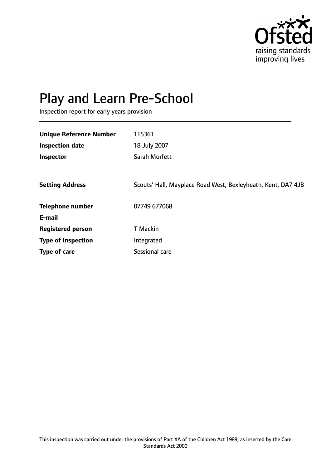

# Play and Learn Pre-School

Inspection report for early years provision

| <b>Unique Reference Number</b> | 115361                                                       |
|--------------------------------|--------------------------------------------------------------|
| <b>Inspection date</b>         | 18 July 2007                                                 |
| Inspector                      | Sarah Morfett                                                |
|                                |                                                              |
| <b>Setting Address</b>         | Scouts' Hall, Mayplace Road West, Bexleyheath, Kent, DA7 4JB |
| <b>Telephone number</b>        | 07749 677068                                                 |
| E-mail                         |                                                              |
| <b>Registered person</b>       | <b>T</b> Mackin                                              |
| <b>Type of inspection</b>      | Integrated                                                   |
| <b>Type of care</b>            | Sessional care                                               |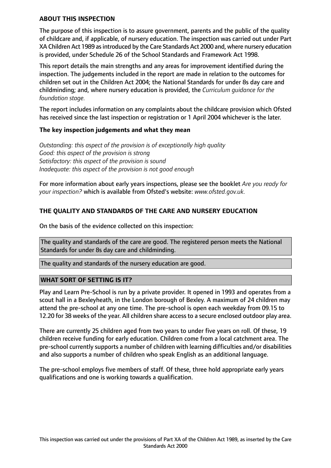#### **ABOUT THIS INSPECTION**

The purpose of this inspection is to assure government, parents and the public of the quality of childcare and, if applicable, of nursery education. The inspection was carried out under Part XA Children Act 1989 asintroduced by the Care Standards Act 2000 and, where nursery education is provided, under Schedule 26 of the School Standards and Framework Act 1998.

This report details the main strengths and any areas for improvement identified during the inspection. The judgements included in the report are made in relation to the outcomes for children set out in the Children Act 2004; the National Standards for under 8s day care and childminding; and, where nursery education is provided, the *Curriculum guidance for the foundation stage.*

The report includes information on any complaints about the childcare provision which Ofsted has received since the last inspection or registration or 1 April 2004 whichever is the later.

#### **The key inspection judgements and what they mean**

*Outstanding: this aspect of the provision is of exceptionally high quality Good: this aspect of the provision is strong Satisfactory: this aspect of the provision is sound Inadequate: this aspect of the provision is not good enough*

For more information about early years inspections, please see the booklet *Are you ready for your inspection?* which is available from Ofsted's website: *www.ofsted.gov.uk.*

# **THE QUALITY AND STANDARDS OF THE CARE AND NURSERY EDUCATION**

On the basis of the evidence collected on this inspection:

The quality and standards of the care are good. The registered person meets the National Standards for under 8s day care and childminding.

The quality and standards of the nursery education are good.

## **WHAT SORT OF SETTING IS IT?**

Play and Learn Pre-School is run by a private provider. It opened in 1993 and operates from a scout hall in a Bexleyheath, in the London borough of Bexley. A maximum of 24 children may attend the pre-school at any one time. The pre-school is open each weekday from 09.15 to 12.20 for 38 weeks of the year. All children share access to a secure enclosed outdoor play area.

There are currently 25 children aged from two years to under five years on roll. Of these, 19 children receive funding for early education. Children come from a local catchment area. The pre-school currently supports a number of children with learning difficulties and/or disabilities and also supports a number of children who speak English as an additional language.

The pre-school employs five members of staff. Of these, three hold appropriate early years qualifications and one is working towards a qualification.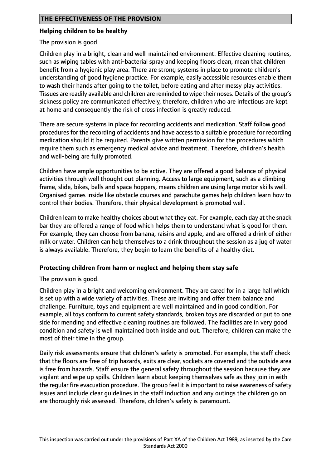## **Helping children to be healthy**

The provision is good.

Children play in a bright, clean and well-maintained environment. Effective cleaning routines, such as wiping tables with anti-bacterial spray and keeping floors clean, mean that children benefit from a hygienic play area. There are strong systems in place to promote children's understanding of good hygiene practice. For example, easily accessible resources enable them to wash their hands after going to the toilet, before eating and after messy play activities. Tissues are readily available and children are reminded to wipe their noses. Details of the group's sickness policy are communicated effectively, therefore, children who are infectious are kept at home and consequently the risk of cross infection is greatly reduced.

There are secure systems in place for recording accidents and medication. Staff follow good procedures for the recording of accidents and have access to a suitable procedure for recording medication should it be required. Parents give written permission for the procedures which require them such as emergency medical advice and treatment. Therefore, children's health and well-being are fully promoted.

Children have ample opportunities to be active. They are offered a good balance of physical activities through well thought out planning. Access to large equipment, such as a climbing frame, slide, bikes, balls and space hoppers, means children are using large motor skills well. Organised games inside like obstacle courses and parachute games help children learn how to control their bodies. Therefore, their physical development is promoted well.

Children learn to make healthy choices about what they eat. For example, each day at the snack bar they are offered a range of food which helps them to understand what is good for them. For example, they can choose from banana, raisins and apple, and are offered a drink of either milk or water. Children can help themselves to a drink throughout the session as a jug of water is always available. Therefore, they begin to learn the benefits of a healthy diet.

## **Protecting children from harm or neglect and helping them stay safe**

The provision is good.

Children play in a bright and welcoming environment. They are cared for in a large hall which is set up with a wide variety of activities. These are inviting and offer them balance and challenge. Furniture, toys and equipment are well maintained and in good condition. For example, all toys conform to current safety standards, broken toys are discarded or put to one side for mending and effective cleaning routines are followed. The facilities are in very good condition and safety is well maintained both inside and out. Therefore, children can make the most of their time in the group.

Daily risk assessments ensure that children's safety is promoted. For example, the staff check that the floors are free of trip hazards, exits are clear, sockets are covered and the outside area is free from hazards. Staff ensure the general safety throughout the session because they are vigilant and wipe up spills. Children learn about keeping themselves safe as they join in with the regular fire evacuation procedure. The group feel it is important to raise awareness of safety issues and include clear guidelines in the staff induction and any outings the children go on are thoroughly risk assessed. Therefore, children's safety is paramount.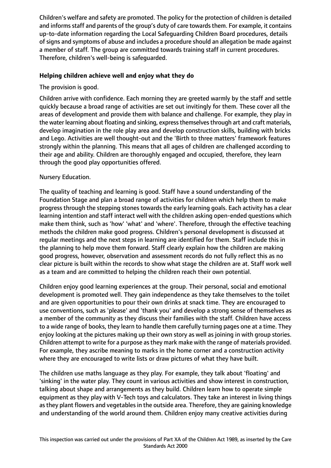Children's welfare and safety are promoted. The policy for the protection of children is detailed and informs staff and parents of the group's duty of care towards them. For example, it contains up-to-date information regarding the Local Safeguarding Children Board procedures, details of signs and symptoms of abuse and includes a procedure should an allegation be made against a member of staff. The group are committed towards training staff in current procedures. Therefore, children's well-being is safeguarded.

# **Helping children achieve well and enjoy what they do**

# The provision is good.

Children arrive with confidence. Each morning they are greeted warmly by the staff and settle quickly because a broad range of activities are set out invitingly for them. These cover all the areas of development and provide them with balance and challenge. For example, they play in the water learning about floating and sinking, express themselves through art and craft materials, develop imagination in the role play area and develop construction skills, building with bricks and Lego. Activities are well thought-out and the 'Birth to three matters' framework features strongly within the planning. This means that all ages of children are challenged according to their age and ability. Children are thoroughly engaged and occupied, therefore, they learn through the good play opportunities offered.

## Nursery Education.

The quality of teaching and learning is good. Staff have a sound understanding of the Foundation Stage and plan a broad range of activities for children which help them to make progress through the stepping stones towards the early learning goals. Each activity has a clear learning intention and staff interact well with the children asking open-ended questions which make them think, such as 'how' 'what' and 'where'. Therefore, through the effective teaching methods the children make good progress. Children's personal development is discussed at regular meetings and the next steps in learning are identified for them. Staff include this in the planning to help move them forward. Staff clearly explain how the children are making good progress, however, observation and assessment records do not fully reflect this as no clear picture is built within the records to show what stage the children are at. Staff work well as a team and are committed to helping the children reach their own potential.

Children enjoy good learning experiences at the group. Their personal, social and emotional development is promoted well. They gain independence as they take themselves to the toilet and are given opportunities to pour their own drinks at snack time. They are encouraged to use conventions, such as 'please' and 'thank you' and develop a strong sense of themselves as a member of the community as they discuss their families with the staff. Children have access to a wide range of books, they learn to handle them carefully turning pages one at a time. They enjoy looking at the pictures making up their own story as well as joining in with group stories. Children attempt to write for a purpose as they mark make with the range of materials provided. For example, they ascribe meaning to marks in the home corner and a construction activity where they are encouraged to write lists or draw pictures of what they have built.

The children use maths language as they play. For example, they talk about 'floating' and 'sinking' in the water play. They count in various activities and show interest in construction, talking about shape and arrangements as they build. Children learn how to operate simple equipment as they play with V-Tech toys and calculators. They take an interest in living things as they plant flowers and vegetables in the outside area. Therefore, they are gaining knowledge and understanding of the world around them. Children enjoy many creative activities during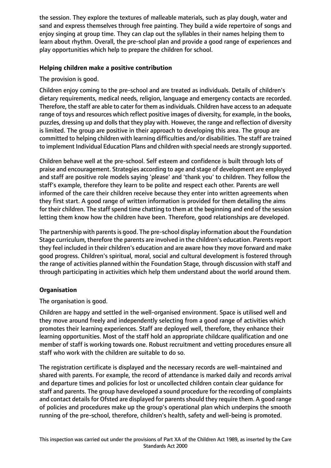the session. They explore the textures of malleable materials, such as play dough, water and sand and express themselves through free painting. They build a wide repertoire of songs and enjoy singing at group time. They can clap out the syllables in their names helping them to learn about rhythm. Overall, the pre-school plan and provide a good range of experiences and play opportunities which help to prepare the children for school.

# **Helping children make a positive contribution**

The provision is good.

Children enjoy coming to the pre-school and are treated as individuals. Details of children's dietary requirements, medical needs, religion, language and emergency contacts are recorded. Therefore, the staff are able to cater for them as individuals. Children have access to an adequate range of toys and resources which reflect positive images of diversity, for example, in the books, puzzles, dressing up and dolls that they play with. However, the range and reflection of diversity is limited. The group are positive in their approach to developing this area. The group are committed to helping children with learning difficulties and/or disabilities. The staff are trained to implement Individual Education Plans and children with special needs are strongly supported.

Children behave well at the pre-school. Self esteem and confidence is built through lots of praise and encouragement. Strategies according to age and stage of development are employed and staff are positive role models saying 'please' and 'thank you' to children. They follow the staff's example, therefore they learn to be polite and respect each other. Parents are well informed of the care their children receive because they enter into written agreements when they first start. A good range of written information is provided for them detailing the aims for their children. The staff spend time chatting to them at the beginning and end of the session letting them know how the children have been. Therefore, good relationships are developed.

The partnership with parentsis good. The pre-school display information about the Foundation Stage curriculum, therefore the parents are involved in the children's education. Parents report they feel included in their children's education and are aware how they move forward and make good progress. Children's spiritual, moral, social and cultural development is fostered through the range of activities planned within the Foundation Stage, through discussion with staff and through participating in activities which help them understand about the world around them.

# **Organisation**

The organisation is good.

Children are happy and settled in the well-organised environment. Space is utilised well and they move around freely and independently selecting from a good range of activities which promotes their learning experiences. Staff are deployed well, therefore, they enhance their learning opportunities. Most of the staff hold an appropriate childcare qualification and one member of staff is working towards one. Robust recruitment and vetting procedures ensure all staff who work with the children are suitable to do so.

The registration certificate is displayed and the necessary records are well-maintained and shared with parents. For example, the record of attendance is marked daily and records arrival and departure times and policies for lost or uncollected children contain clear guidance for staff and parents. The group have developed a sound procedure for the recording of complaints and contact details for Ofsted are displayed for parents should they require them. A good range of policies and procedures make up the group's operational plan which underpins the smooth running of the pre-school, therefore, children's health, safety and well-being is promoted.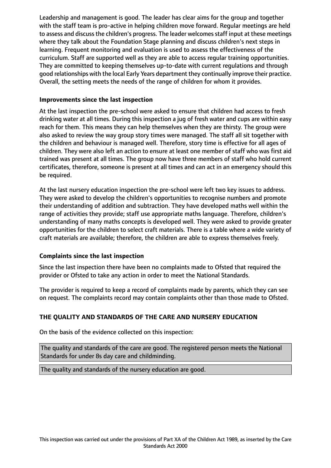Leadership and management is good. The leader has clear aims for the group and together with the staff team is pro-active in helping children move forward. Regular meetings are held to assess and discuss the children's progress. The leader welcomes staff input at these meetings where they talk about the Foundation Stage planning and discuss children's next steps in learning. Frequent monitoring and evaluation is used to assess the effectiveness of the curriculum. Staff are supported well as they are able to access regular training opportunities. They are committed to keeping themselves up-to-date with current regulations and through good relationships with the local Early Years department they continually improve their practice. Overall, the setting meets the needs of the range of children for whom it provides.

## **Improvements since the last inspection**

At the last inspection the pre-school were asked to ensure that children had access to fresh drinking water at all times. During this inspection a jug of fresh water and cups are within easy reach for them. This means they can help themselves when they are thirsty. The group were also asked to review the way group story times were managed. The staff all sit together with the children and behaviour is managed well. Therefore, story time is effective for all ages of children. They were also left an action to ensure at least one member of staff who was first aid trained was present at all times. The group now have three members of staff who hold current certificates, therefore, someone is present at all times and can act in an emergency should this be required.

At the last nursery education inspection the pre-school were left two key issues to address. They were asked to develop the children's opportunities to recognise numbers and promote their understanding of addition and subtraction. They have developed maths well within the range of activities they provide; staff use appropriate maths language. Therefore, children's understanding of many maths concepts is developed well. They were asked to provide greater opportunities for the children to select craft materials. There is a table where a wide variety of craft materials are available; therefore, the children are able to express themselves freely.

## **Complaints since the last inspection**

Since the last inspection there have been no complaints made to Ofsted that required the provider or Ofsted to take any action in order to meet the National Standards.

The provider is required to keep a record of complaints made by parents, which they can see on request. The complaints record may contain complaints other than those made to Ofsted.

# **THE QUALITY AND STANDARDS OF THE CARE AND NURSERY EDUCATION**

On the basis of the evidence collected on this inspection:

The quality and standards of the care are good. The registered person meets the National Standards for under 8s day care and childminding.

The quality and standards of the nursery education are good.